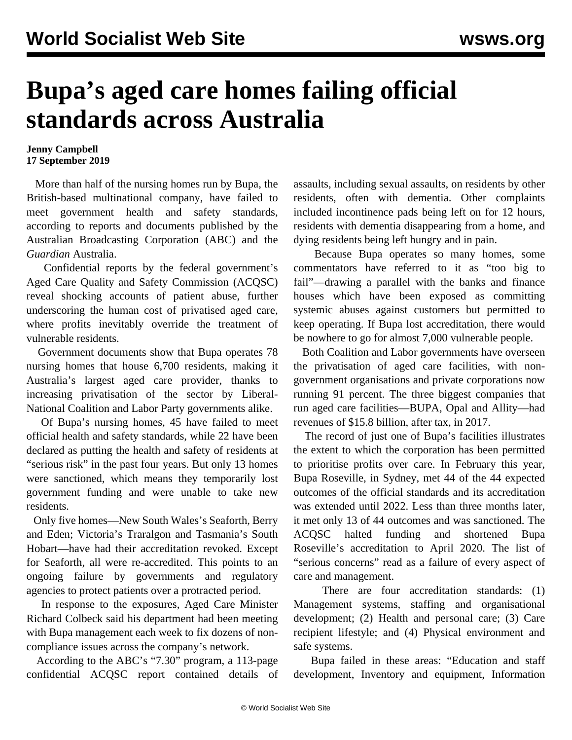## **Bupa's aged care homes failing official standards across Australia**

## **Jenny Campbell 17 September 2019**

 More than half of the nursing homes run by Bupa, the British-based multinational company, have failed to meet government health and safety standards, according to reports and documents published by the Australian Broadcasting Corporation (ABC) and the *Guardian* Australia.

 Confidential reports by the federal government's Aged Care Quality and Safety Commission (ACQSC) reveal shocking accounts of patient abuse, further underscoring the human cost of privatised aged care, where profits inevitably override the treatment of vulnerable residents.

 Government documents show that Bupa operates 78 nursing homes that house 6,700 residents, making it Australia's largest aged care provider, thanks to increasing privatisation of the sector by Liberal-National Coalition and Labor Party governments alike.

 Of Bupa's nursing homes, 45 have failed to meet official health and safety standards, while 22 have been declared as putting the health and safety of residents at "serious risk" in the past four years. But only 13 homes were sanctioned, which means they temporarily lost government funding and were unable to take new residents.

 Only five homes—New South Wales's Seaforth, Berry and Eden; Victoria's Traralgon and Tasmania's South Hobart—have had their accreditation revoked. Except for Seaforth, all were re-accredited. This points to an ongoing failure by governments and regulatory agencies to protect patients over a protracted period.

 In response to the exposures, Aged Care Minister Richard Colbeck said his department had been meeting with Bupa management each week to fix dozens of noncompliance issues across the company's network.

 According to the ABC's "7.30" program, a 113-page confidential ACQSC report contained details of assaults, including sexual assaults, on residents by other residents, often with dementia. Other complaints included incontinence pads being left on for 12 hours, residents with dementia disappearing from a home, and dying residents being left hungry and in pain.

 Because Bupa operates so many homes, some commentators have referred to it as "too big to fail"—drawing a parallel with the banks and finance houses which have been exposed as committing systemic abuses against customers but permitted to keep operating. If Bupa lost accreditation, there would be nowhere to go for almost 7,000 vulnerable people.

 Both Coalition and Labor governments have overseen the privatisation of aged care facilities, with nongovernment organisations and private corporations now running 91 percent. The three biggest companies that run aged care facilities—BUPA, Opal and Allity—had revenues of \$15.8 billion, after tax, in 2017.

 The record of just one of Bupa's facilities illustrates the extent to which the corporation has been permitted to prioritise profits over care. In February this year, Bupa Roseville, in Sydney, met 44 of the 44 expected outcomes of the official standards and its accreditation was extended until 2022. Less than three months later, it met only 13 of 44 outcomes and was sanctioned. The ACQSC halted funding and shortened Bupa Roseville's accreditation to April 2020. The list of "serious concerns" read as a failure of every aspect of care and management.

There are four accreditation standards: (1) Management systems, staffing and organisational development; (2) Health and personal care; (3) Care recipient lifestyle; and (4) Physical environment and safe systems.

 Bupa failed in these areas: "Education and staff development, Inventory and equipment, Information